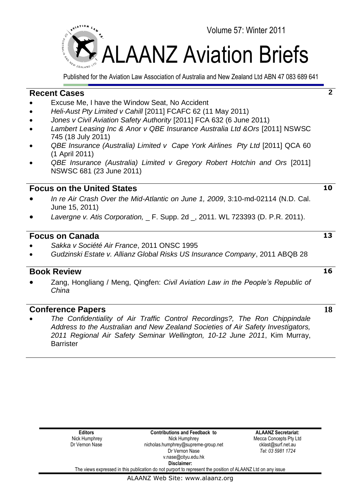

Published for the Aviation Law Association of Australia and New Zealand Ltd ABN 47 083 689 641

# **Recent Cases**

- Excuse Me, I have the Window Seat, No Accident
- *Heli-Aust Pty Limited v Cahill* [2011] FCAFC 62 (11 May 2011)
- *Jones v Civil Aviation Safety Authority* [2011] FCA 632 (6 June 2011)
- *Lambert Leasing Inc & Anor v QBE Insurance Australia Ltd &Ors* [2011] NSWSC 745 (18 July 2011)
- *QBE Insurance (Australia) Limited v Cape York Airlines Pty Ltd* [2011] QCA 60 (1 April 2011)
- *QBE Insurance (Australia) Limited v Gregory Robert Hotchin and Ors* [2011] NSWSC 681 (23 June 2011)

# **Focus on the United States**

- *In re Air Crash Over the Mid-Atlantic on June 1, 2009*, 3:10-md-02114 (N.D. Cal. June 15, 2011)
- *Lavergne v. Atis Corporation,* \_ F. Supp. 2d \_, 2011. WL 723393 (D. P.R. 2011).

# **Focus on Canada**

- *Sakka v Société Air France*, 2011 ONSC 1995
- *Gudzinski Estate v. Allianz Global Risks US Insurance Company*, 2011 ABQB 28

# **Book Review**

 Zang, Hongliang / Meng, Qingfen: *Civil Aviation Law in the People"s Republic of China*

# **Conference Papers**

 *The Confidentiality of Air Traffic Control Recordings?, The Ron Chippindale Address to the Australian and New Zealand Societies of Air Safety Investigators, 2011 Regional Air Safety Seminar Wellington, 10-12 June 2011*, Kim Murray, **Barrister** 

**13**

**10**

**2**

**16**

**18**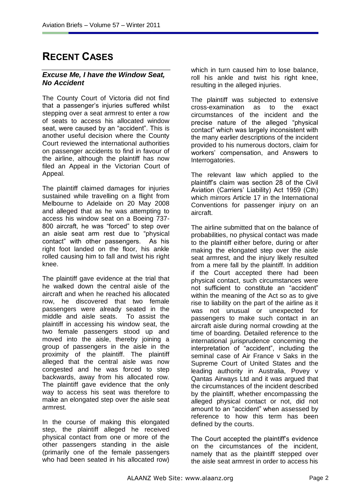# **RECENT CASES**

### *Excuse Me, I have the Window Seat, No Accident*

The County Court of Victoria did not find that a passenger's injuries suffered whilst stepping over a seat armrest to enter a row of seats to access his allocated window seat, were caused by an "accident". This is another useful decision where the County Court reviewed the international authorities on passenger accidents to find in favour of the airline, although the plaintiff has now filed an Appeal in the Victorian Court of Appeal.

The plaintiff claimed damages for injuries sustained while travelling on a flight from Melbourne to Adelaide on 20 May 2008 and alleged that as he was attempting to access his window seat on a Boeing 737- 800 aircraft, he was "forced" to step over an aisle seat arm rest due to "physical contact" with other passengers. As his right foot landed on the floor, his ankle rolled causing him to fall and twist his right knee.

The plaintiff gave evidence at the trial that he walked down the central aisle of the aircraft and when he reached his allocated row, he discovered that two female passengers were already seated in the middle and aisle seats. To assist the plaintiff in accessing his window seat, the two female passengers stood up and moved into the aisle, thereby joining a group of passengers in the aisle in the proximity of the plaintiff. The plaintiff alleged that the central aisle was now congested and he was forced to step backwards, away from his allocated row. The plaintiff gave evidence that the only way to access his seat was therefore to make an elongated step over the aisle seat armrest.

In the course of making this elongated step, the plaintiff alleged he received physical contact from one or more of the other passengers standing in the aisle (primarily one of the female passengers who had been seated in his allocated row) which in turn caused him to lose balance. roll his ankle and twist his right knee, resulting in the alleged injuries.

The plaintiff was subjected to extensive cross-examination as to the exact circumstances of the incident and the precise nature of the alleged "physical contact" which was largely inconsistent with the many earlier descriptions of the incident provided to his numerous doctors, claim for workers' compensation, and Answers to Interrogatories.

The relevant law which applied to the plaintiff's claim was section 28 of the Civil Aviation (Carriers' Liability) Act 1959 (Cth) which mirrors Article 17 in the International Conventions for passenger injury on an aircraft.

The airline submitted that on the balance of probabilities, no physical contact was made to the plaintiff either before, during or after making the elongated step over the aisle seat armrest, and the injury likely resulted from a mere fall by the plaintiff. In addition if the Court accepted there had been physical contact, such circumstances were not sufficient to constitute an "accident" within the meaning of the Act so as to give rise to liability on the part of the airline as it was not unusual or unexpected for passengers to make such contact in an aircraft aisle during normal crowding at the time of boarding. Detailed reference to the international jurisprudence concerning the interpretation of "accident", including the seminal case of Air France v Saks in the Supreme Court of United States and the leading authority in Australia, Povey v Qantas Airways Ltd and it was argued that the circumstances of the incident described by the plaintiff, whether encompassing the alleged physical contact or not, did not amount to an "accident" when assessed by reference to how this term has been defined by the courts.

The Court accepted the plaintiff's evidence on the circumstances of the incident, namely that as the plaintiff stepped over the aisle seat armrest in order to access his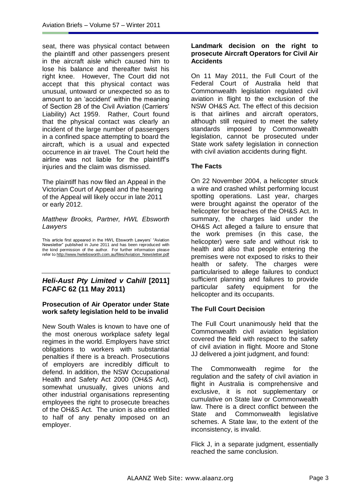seat, there was physical contact between the plaintiff and other passengers present in the aircraft aisle which caused him to lose his balance and thereafter twist his right knee. However, The Court did not accept that this physical contact was unusual, untoward or unexpected so as to amount to an 'accident' within the meaning of Section 28 of the Civil Aviation (Carriers' Liability) Act 1959. Rather, Court found that the physical contact was clearly an incident of the large number of passengers in a confined space attempting to board the aircraft, which is a usual and expected occurrence in air travel. The Court held the airline was not liable for the plaintiff's injuries and the claim was dismissed.

The plaintiff has now filed an Appeal in the Victorian Court of Appeal and the hearing of the Appeal will likely occur in late 2011 or early 2012.

### *Matthew Brooks, Partner, HWL Ebsworth Lawyers*

This article first appeared in the HWL Ebsworth Lawyers' "Aviation Newsletter" published in June 2011 and has been reproduced with the kind permission of the author. For further information please refer t[o http://www.hwlebsworth.com.au/files/Aviation\\_Newsletter.pdf](http://www.hwlebsworth.com.au/files/Aviation_Newsletter.pdf)

## *Heli-Aust Pty Limited v Cahill* **[2011] FCAFC 62 (11 May 2011)**

### **Prosecution of Air Operator under State work safety legislation held to be invalid**

New South Wales is known to have one of the most onerous workplace safety legal regimes in the world. Employers have strict obligations to workers with substantial penalties if there is a breach. Prosecutions of employers are incredibly difficult to defend. In addition, the NSW Occupational Health and Safety Act 2000 (OH&S Act), somewhat unusually, gives unions and other industrial organisations representing employees the right to prosecute breaches of the OH&S Act. The union is also entitled to half of any penalty imposed on an employer.

### **Landmark decision on the right to prosecute Aircraft Operators for Civil Air Accidents**

On 11 May 2011, the Full Court of the Federal Court of Australia held that Commonwealth legislation regulated civil aviation in flight to the exclusion of the NSW OH&S Act. The effect of this decision is that airlines and aircraft operators, although still required to meet the safety standards imposed by Commonwealth legislation, cannot be prosecuted under State work safety legislation in connection with civil aviation accidents during flight.

## **The Facts**

On 22 November 2004, a helicopter struck a wire and crashed whilst performing locust spotting operations. Last year, charges were brought against the operator of the helicopter for breaches of the OH&S Act. In summary, the charges laid under the OH&S Act alleged a failure to ensure that the work premises (in this case, the helicopter) were safe and without risk to health and also that people entering the premises were not exposed to risks to their health or safety. The charges were particularised to allege failures to conduct sufficient planning and failures to provide particular safety equipment for the helicopter and its occupants.

### **The Full Court Decision**

The Full Court unanimously held that the Commonwealth civil aviation legislation covered the field with respect to the safety of civil aviation in flight. Moore and Stone JJ delivered a joint judgment, and found:

The Commonwealth regime for the regulation and the safety of civil aviation in flight in Australia is comprehensive and exclusive, it is not supplementary or cumulative on State law or Commonwealth law. There is a direct conflict between the State and Commonwealth legislative schemes. A State law, to the extent of the inconsistency, is invalid.

Flick J, in a separate judgment, essentially reached the same conclusion.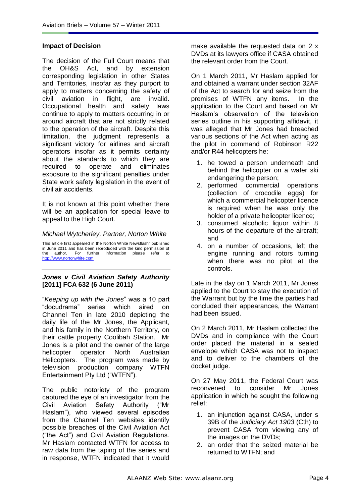#### **Impact of Decision**

The decision of the Full Court means that the OH&S Act, and by extension corresponding legislation in other States and Territories, insofar as they purport to apply to matters concerning the safety of civil aviation in flight, are invalid. Occupational health and safety laws continue to apply to matters occurring in or around aircraft that are not strictly related to the operation of the aircraft. Despite this limitation, the judgment represents a significant victory for airlines and aircraft operators insofar as it permits certainty about the standards to which they are required to operate and eliminates exposure to the significant penalties under State work safety legislation in the event of civil air accidents.

It is not known at this point whether there will be an application for special leave to appeal to the High Court.

#### *Michael Wytcherley, Partner, Norton White*

This article first appeared in the Norton White Newsflash" published in June 2011 and has been reproduced with the kind permission of the author. For further information please refer to [http://www.nortonwhite.com](http://www.nortonwhite.com/)

#### *Jones v Civil Aviation Safety Authority* **[2011] FCA 632 (6 June 2011)**

―*Keeping up with the Jones*‖ was a 10 part ―docudrama‖ series which aired on Channel Ten in late 2010 depicting the daily life of the Mr Jones, the Applicant, and his family in the Northern Territory, on their cattle property Coolibah Station. Mr Jones is a pilot and the owner of the large helicopter operator North Australian Helicopters. The program was made by television production company WTFN Entertainment Pty Ltd ("WTFN").

The public notoriety of the program captured the eye of an investigator from the Civil Aviation Safety Authority ("Mr Haslam"), who viewed several episodes from the Channel Ten websites identify possible breaches of the Civil Aviation Act ("the Act") and Civil Aviation Regulations. Mr Haslam contacted WTFN for access to raw data from the taping of the series and in response, WTFN indicated that it would

make available the requested data on 2 x DVDs at its lawyers office if CASA obtained the relevant order from the Court.

On 1 March 2011, Mr Haslam applied for and obtained a warrant under section 32AF of the Act to search for and seize from the premises of WTFN any items. In the application to the Court and based on Mr Haslam's observation of the television series outline in his supporting affidavit, it was alleged that Mr Jones had breached various sections of the Act when acting as the pilot in command of Robinson R22 and/or R44 helicopters he:

- 1. he towed a person underneath and behind the helicopter on a water ski endangering the person;
- 2. performed commercial operations (collection of crocodile eggs) for which a commercial helicopter licence is required when he was only the holder of a private helicopter licence;
- 3. consumed alcoholic liquor within 8 hours of the departure of the aircraft; and
- 4. on a number of occasions, left the engine running and rotors turning when there was no pilot at the controls.

Late in the day on 1 March 2011, Mr Jones applied to the Court to stay the execution of the Warrant but by the time the parties had concluded their appearances, the Warrant had been issued.

On 2 March 2011, Mr Haslam collected the DVDs and in compliance with the Court order placed the material in a sealed envelope which CASA was not to inspect and to deliver to the chambers of the docket judge.

On 27 May 2011, the Federal Court was reconvened to consider Mr Jones application in which he sought the following relief:

- 1. an injunction against CASA, under s 39B of the *Judiciary Act 1903* (Cth) to prevent CASA from viewing any of the images on the DVDs;
- 2. an order that the seized material be returned to WTFN; and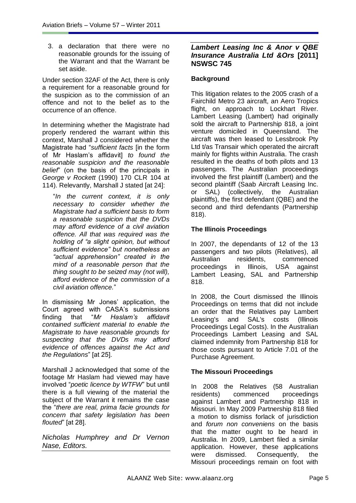3. a declaration that there were no reasonable grounds for the issuing of the Warrant and that the Warrant be set aside.

Under section 32AF of the Act, there is only a requirement for a reasonable ground for the suspicion as to the commission of an offence and not to the belief as to the occurrence of an offence.

In determining whether the Magistrate had properly rendered the warrant within this context, Marshall J considered whether the Magistrate had ―*sufficient facts* [in the form of Mr Haslam's affidavit] *to found the reasonable suspicion and the reasonable belief*‖ (on the basis of the principals in *George v Rockett* (1990) 170 CLR 104 at 114). Relevantly, Marshall J stated [at 24]:

―*In the current context, it is only necessary to consider whether the Magistrate had a sufficient basis to form a reasonable suspicion that the DVDs may afford evidence of a civil aviation offence. All that was required was the holding of "a slight opinion, but without sufficient evidence" but nonetheless an "actual apprehension" created in the mind of a reasonable person that the thing sought to be seized may (not will), afford evidence of the commission of a civil aviation offence.*‖

In dismissing Mr Jones' application, the Court agreed with CASA's submissions finding that "Mr Haslam's affidavit *contained sufficient material to enable the Magistrate to have reasonable grounds for suspecting that the DVDs may afford evidence of offences against the Act and the Regulations*‖ [at 25].

Marshall J acknowledged that some of the footage Mr Haslam had viewed may have involved "*poetic licence by WTFW*" but until there is a full viewing of the material the subject of the Warrant it remains the case the ―*there are real, prima facie grounds for concern that safety legislation has been flouted*‖ [at 28].

*Nicholas Humphrey and Dr Vernon Nase, Editors.*

### *Lambert Leasing Inc & Anor v QBE Insurance Australia Ltd &Ors* **[2011] NSWSC 745**

## **Background**

This litigation relates to the 2005 crash of a Fairchild Metro 23 aircraft, an Aero Tropics flight, on approach to Lockhart River. Lambert Leasing (Lambert) had originally sold the aircraft to Partnership 818, a joint venture domiciled in Queensland. The aircraft was then leased to Lessbrook Pty Ltd t/as Transair which operated the aircraft mainly for flights within Australia. The crash resulted in the deaths of both pilots and 13 passengers. The Australian proceedings involved the first plaintiff (Lambert) and the second plaintiff (Saab Aircraft Leasing Inc. or SAL) (collectively, the Australian plaintiffs), the first defendant (QBE) and the second and third defendants (Partnership 818).

## **The Illinois Proceedings**

In 2007, the dependants of 12 of the 13 passengers and two pilots (Relatives), all Australian residents, commenced proceedings in Illinois, USA against Lambert Leasing, SAL and Partnership 818.

In 2008, the Court dismissed the Illinois Proceedings on terms that did not include an order that the Relatives pay Lambert Leasing's and SAL's costs (Illinois Proceedings Legal Costs). In the Australian Proceedings Lambert Leasing and SAL claimed indemnity from Partnership 818 for those costs pursuant to Article 7.01 of the Purchase Agreement.

### **The Missouri Proceedings**

In 2008 the Relatives (58 Australian residents) commenced proceedings against Lambert and Partnership 818 in Missouri. In May 2009 Partnership 818 filed a motion to dismiss forlack of jurisdiction and *forum non conveniens* on the basis that the matter ought to be heard in Australia. In 2009, Lambert filed a similar application. However, these applications were dismissed. Consequently, the Missouri proceedings remain on foot with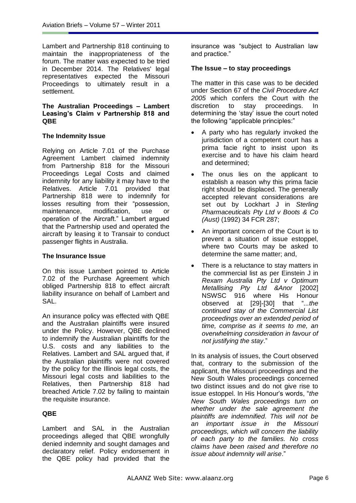Lambert and Partnership 818 continuing to maintain the inappropriateness of the forum. The matter was expected to be tried in December 2014. The Relatives' legal representatives expected the Missouri Proceedings to ultimately result in a settlement.

### **The Australian Proceedings – Lambert Leasing's Claim v Partnership 818 and QBE**

### **The Indemnity Issue**

Relying on Article 7.01 of the Purchase Agreement Lambert claimed indemnity from Partnership 818 for the Missouri Proceedings Legal Costs and claimed indemnity for any liability it may have to the Relatives. Article 7.01 provided that Partnership 818 were to indemnify for losses resulting from their "possession, maintenance, modification, use or operation of the Aircraft." Lambert argued that the Partnership used and operated the aircraft by leasing it to Transair to conduct passenger flights in Australia.

### **The Insurance Issue**

On this issue Lambert pointed to Article 7.02 of the Purchase Agreement which obliged Partnership 818 to effect aircraft liability insurance on behalf of Lambert and SAL.

An insurance policy was effected with QBE and the Australian plaintiffs were insured under the Policy. However, QBE declined to indemnify the Australian plaintiffs for the U.S. costs and any liabilities to the Relatives. Lambert and SAL argued that, if the Australian plaintiffs were not covered by the policy for the Illinois legal costs, the Missouri legal costs and liabilities to the Relatives, then Partnership 818 had breached Article 7.02 by failing to maintain the requisite insurance.

### **QBE**

Lambert and SAL in the Australian proceedings alleged that QBE wrongfully denied indemnity and sought damages and declaratory relief. Policy endorsement in the QBE policy had provided that the insurance was "subject to Australian law and practice."

### **The Issue – to stay proceedings**

The matter in this case was to be decided under Section 67 of the *Civil Procedure Act 2005* which confers the Court with the discretion to stay proceedings. In determining the 'stay' issue the court noted the following "applicable principles:"

- A party who has regularly invoked the jurisdiction of a competent court has a prima facie right to insist upon its exercise and to have his claim heard and determined;
- The onus lies on the applicant to establish a reason why this prima facie right should be displaced. The generally accepted relevant considerations are set out by Lockhart J in *Sterling Pharmaceuticals Pty Ltd v Boots & Co (Aust)* (1992) 34 FCR 287;
- An important concern of the Court is to prevent a situation of issue estoppel, where two Courts may be asked to determine the same matter; and,
- There is a reluctance to stay matters in the commercial list as per Einstein J in *Rexam Australia Pty Ltd v Optimum Metallising Pty Ltd &Anor* [2002] NSWSC 916 where His Honour observed at [29]-[30] that ―*...the continued stay of the Commercial List proceedings over an extended period of time, comprise as it seems to me, an overwhelming consideration in favour of not justifying the stay*.‖

In its analysis of issues, the Court observed that, contrary to the submission of the applicant, the Missouri proceedings and the New South Wales proceedings concerned two distinct issues and do not give rise to issue estoppel. In His Honour's words, ―*the New South Wales proceedings turn on whether under the sale agreement the plaintiffs are indemnified. This will not be an important issue in the Missouri proceedings, which will concern the liability of each party to the families. No cross claims have been raised and therefore no issue about indemnity will arise*.‖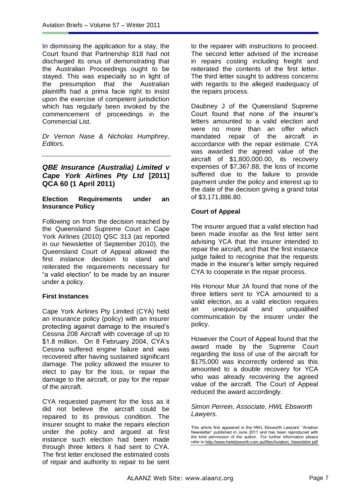In dismissing the application for a stay, the Court found that Partnership 818 had not discharged its onus of demonstrating that the Australian Proceedings ought to be stayed. This was especially so in light of the presumption that the Australian plaintiffs had a prima facie right to insist upon the exercise of competent jurisdiction which has regularly been invoked by the commencement of proceedings in the Commercial List.

*Dr Vernon Nase & Nicholas Humphrey, Editors.*

### *QBE Insurance (Australia) Limited v Cape York Airlines Pty Ltd* **[2011] QCA 60 (1 April 2011)**

### **Election Requirements under an Insurance Policy**

Following on from the decision reached by the Queensland Supreme Court in Cape York Airlines (2010) QSC 313 (as reported in our Newsletter of September 2010), the Queensland Court of Appeal allowed the first instance decision to stand and reiterated the requirements necessary for "a valid election" to be made by an insurer under a policy.

### **First Instances**

Cape York Airlines Pty Limited (CYA) held an insurance policy (policy) with an insurer protecting against damage to the insured's Cessna 208 Aircraft with coverage of up to \$1.8 million. On 8 February 2004, CYA's Cessna suffered engine failure and was recovered after having sustained significant damage. The policy allowed the insurer to elect to pay for the loss, or repair the damage to the aircraft, or pay for the repair of the aircraft.

CYA requested payment for the loss as it did not believe the aircraft could be repaired to its previous condition. The insurer sought to make the repairs election under the policy and argued at first instance such election had been made through three letters it had sent to CYA. The first letter enclosed the estimated costs of repair and authority to repair to be sent to the repairer with instructions to proceed. The second letter advised of the increase in repairs costing including freight and reiterated the contents of the first letter. The third letter sought to address concerns with regards to the alleged inadequacy of the repairs process.

Daubney J of the Queensland Supreme Court found that none of the insurer's letters amounted to a valid election and were no more than an offer which mandated repair of the aircraft in accordance with the repair estimate. CYA was awarded the agreed value of the aircraft of \$1,800,000.00, its recovery expenses of \$7,367.88, the loss of income suffered due to the failure to provide payment under the policy and interest up to the date of the decision giving a grand total of \$3,171,886.80.

### **Court of Appeal**

The insurer argued that a valid election had been made insofar as the first letter sent advising YCA that the insurer intended to repair the aircraft, and that the first instance judge failed to recognise that the requests made in the insurer's letter simply required CYA to cooperate in the repair process.

His Honour Muir JA found that none of the three letters sent to YCA amounted to a valid election, as a valid election requires an unequivocal and unqualified communication by the insurer under the policy.

However the Court of Appeal found that the award made by the Supreme Court regarding the loss of use of the aircraft for \$175,000 was incorrectly ordered as this amounted to a double recovery for YCA who was already recovering the agreed value of the aircraft. The Court of Appeal reduced the award accordingly.

#### *Simon Perrein, Associate, HWL Ebsworth Lawyers.*

This article first appeared in the HWL Ebsworth Lawyers' "Aviation Newsletter" published in June 2011 and has been reproduced with the kind permission of the author. For further information please refer to [http://www.hwlebsworth.com.au/files/Aviation\\_Newsletter.pdf](http://www.hwlebsworth.com.au/files/Aviation_Newsletter.pdf)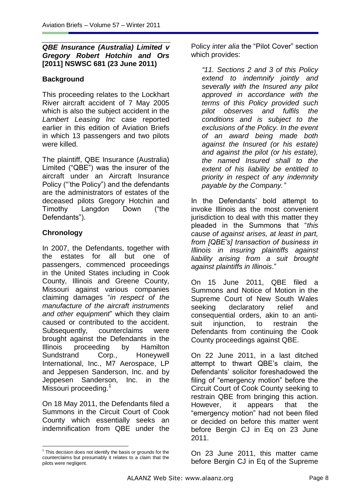# *QBE Insurance (Australia) Limited v Gregory Robert Hotchin and Ors*  **[2011] NSWSC 681 (23 June 2011)**

# **Background**

This proceeding relates to the Lockhart River aircraft accident of 7 May 2005 which is also the subject accident in the *Lambert Leasing Inc* case reported earlier in this edition of Aviation Briefs in which 13 passengers and two pilots were killed.

The plaintiff, QBE Insurance (Australia) Limited ("QBE") was the insurer of the aircraft under an Aircraft Insurance Policy ("'the Policy") and the defendants are the administrators of estates of the deceased pilots Gregory Hotchin and Timothy Langdon Down ("the Defendants").

# **Chronology**

 $\overline{a}$ 

In 2007, the Defendants, together with the estates for all but one of passengers, commenced proceedings in the United States including in Cook County, Illinois and Greene County, Missouri against various companies claiming damages ―*in respect of the manufacture of the aircraft instruments and other equipment*‖ which they claim caused or contributed to the accident. Subsequently, counterclaims were brought against the Defendants in the Illinois proceeding by Hamilton Sundstrand Corp., Honeywell International, Inc., M7 Aerospace, LP and Jeppesen Sanderson, Inc. and by Jeppesen Sanderson, Inc. in the Missouri proceeding.<sup>1</sup>

On 18 May 2011, the Defendants filed a Summons in the Circuit Court of Cook County which essentially seeks an indemnification from QBE under the Policy *inter alia* the "Pilot Cover" section which provides:

*"11. Sections 2 and 3 of this Policy extend to indemnify jointly and severally with the Insured any pilot approved in accordance with the terms of this Policy provided such pilot observes and fulfils the conditions and is subject to the exclusions of the Policy. In the event of an award being made both against the Insured (or his estate) and against the pilot (or his estate), the named Insured shall to the extent of his liability be entitled to priority in respect of any indemnity payable by the Company."*

In the Defendants' bold attempt to invoke Illinois as the most convenient jurisdiction to deal with this matter they pleaded in the Summons that ―*this cause of against arises, at least in part, from [QBE"s] transaction of business in Illinois in insuring plaintiffs against liability arising from a suit brought against plaintiffs in Illinois*.‖

On 15 June 2011, QBE filed a Summons and Notice of Motion in the Supreme Court of New South Wales seeking declaratory relief and consequential orders, akin to an antisuit injunction, to restrain the Defendants from continuing the Cook County proceedings against QBE.

On 22 June 2011, in a last ditched attempt to thwart QBE's claim, the Defendants' solicitor foreshadowed the filing of "emergency motion" before the Circuit Court of Cook County seeking to restrain QBE from bringing this action. However, it appears that the "emergency motion" had not been filed or decided on before this matter went before Bergin CJ in Eq on 23 June 2011.

On 23 June 2011, this matter came before Bergin CJ in Eq of the Supreme

 $1$  This decision does not identify the basis or grounds for the counterclaims but presumably it relates to a claim that the pilots were negligent.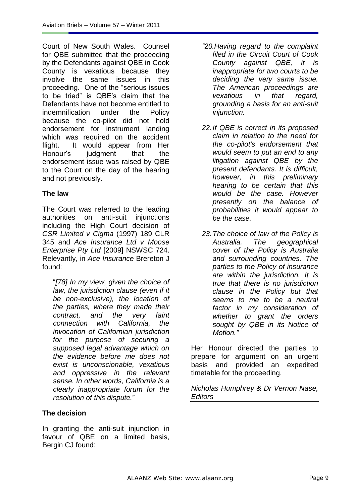Court of New South Wales. Counsel for QBE submitted that the proceeding by the Defendants against QBE in Cook County is vexatious because they involve the same issues in this proceeding. One of the "serious issues" to be tried‖ is QBE's claim that the Defendants have not become entitled to indemnification under the Policy because the co-pilot did not hold endorsement for instrument landing which was required on the accident flight. It would appear from Her Honour's judgment that the endorsement issue was raised by QBE to the Court on the day of the hearing and not previously.

# **The law**

The Court was referred to the leading authorities on anti-suit injunctions including the High Court decision of *CSR Limited v Cigma* (1997) 189 CLR 345 and *Ace Insurance Ltd v Moose Enterprise Pty Ltd* [2009] NSWSC 724. Relevantly, in *Ace Insurance* Brereton J found:

―*[78] In my view, given the choice of law, the jurisdiction clause (even if it be non-exclusive), the location of the parties, where they made their contract, and the very faint connection with California, the invocation of Californian jurisdiction for the purpose of securing a supposed legal advantage which on the evidence before me does not exist is unconscionable, vexatious and oppressive in the relevant sense. In other words, California is a clearly inappropriate forum for the resolution of this dispute.*‖

# **The decision**

In granting the anti-suit injunction in favour of QBE on a limited basis, Bergin CJ found:

- *"20.Having regard to the complaint filed in the Circuit Court of Cook County against QBE, it is inappropriate for two courts to be deciding the very same issue. The American proceedings are vexatious in that regard, grounding a basis for an anti-suit injunction.*
- *22.If QBE is correct in its proposed claim in relation to the need for the co-pilot's endorsement that would seem to put an end to any litigation against QBE by the present defendants. It is difficult, however, in this preliminary hearing to be certain that this would be the case. However presently on the balance of probabilities it would appear to be the case.*
- *23.The choice of law of the Policy is Australia. The geographical cover of the Policy is Australia and surrounding countries. The parties to the Policy of insurance are within the jurisdiction. It is true that there is no jurisdiction clause in the Policy but that seems to me to be a neutral factor in my consideration of whether to grant the orders sought by QBE in its Notice of Motion."*

Her Honour directed the parties to prepare for argument on an urgent basis and provided an expedited timetable for the proceeding.

*Nicholas Humphrey & Dr Vernon Nase, Editors*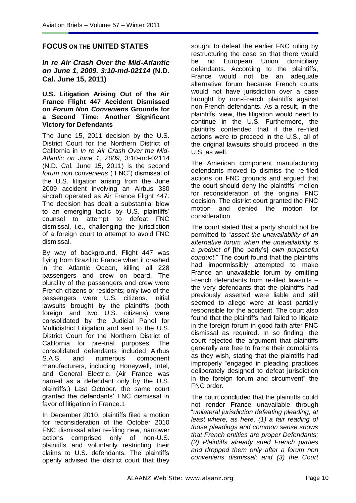### **FOCUS ON THE UNITED STATES**

*In re Air Crash Over the Mid-Atlantic on June 1, 2009, 3:10-md-02114* **(N.D. Cal. June 15, 2011)**

#### **U.S. Litigation Arising Out of the Air France Flight 447 Accident Dismissed on** *Forum Non Conveniens* **Grounds for a Second Time: Another Significant Victory for Defendants**

The June 15, 2011 decision by the U.S. District Court for the Northern District of California in *In re Air Crash Over the Mid-Atlantic on June 1, 2009*, 3:10-md-02114 (N.D. Cal. June 15, 2011) is the second *forum non conveniens* ("FNC") dismissal of the U.S. litigation arising from the June 2009 accident involving an Airbus 330 aircraft operated as Air France Flight 447. The decision has dealt a substantial blow to an emerging tactic by U.S. plaintiffs' counsel to attempt to defeat FNC dismissal, i.e., challenging the jurisdiction of a foreign court to attempt to avoid FNC dismissal.

By way of background, Flight 447 was flying from Brazil to France when it crashed in the Atlantic Ocean, killing all 228 passengers and crew on board. The plurality of the passengers and crew were French citizens or residents; only two of the passengers were U.S. citizens. Initial lawsuits brought by the plaintiffs (both foreign and two U.S. citizens) were consolidated by the Judicial Panel for Multidistrict Litigation and sent to the U.S. District Court for the Northern District of California for pre-trial purposes. The consolidated defendants included Airbus S.A.S. and numerous component manufacturers, including Honeywell, Intel, and General Electric. (Air France was named as a defendant only by the U.S. plaintiffs.) Last October, the same court granted the defendants' FNC dismissal in favor of litigation in France.1

In December 2010, plaintiffs filed a motion for reconsideration of the October 2010 FNC dismissal after re-filing new, narrower actions comprised only of non-U.S. plaintiffs and voluntarily restricting their claims to U.S. defendants. The plaintiffs openly advised the district court that they sought to defeat the earlier FNC ruling by restructuring the case so that there would be no European Union domiciliary defendants. According to the plaintiffs, France would not be an adequate alternative forum because French courts would not have jurisdiction over a case brought by non-French plaintiffs against non-French defendants. As a result, in the plaintiffs' view, the litigation would need to continue in the U.S. Furthermore, the plaintiffs contended that if the re-filed actions were to proceed in the U.S., all of the original lawsuits should proceed in the U.S. as well.

The American component manufacturing defendants moved to dismiss the re-filed actions on FNC grounds and argued that the court should deny the plaintiffs' motion for reconsideration of the original FNC decision. The district court granted the FNC motion and denied the motion for consideration.

The court stated that a party should not be permitted to ―*assert the unavailability of an alternative forum when the unavailability is a product of* [the party's] *own purposeful conduct*.‖ The court found that the plaintiffs had impermissibly attempted to make France an unavailable forum by omitting French defendants from re-filed lawsuits – the very defendants that the plaintiffs had previously asserted were liable and still seemed to allege were at least partially responsible for the accident. The court also found that the plaintiffs had failed to litigate in the foreign forum in good faith after FNC dismissal as required. In so finding, the court rejected the argument that plaintiffs generally are free to frame their complaints as they wish, stating that the plaintiffs had improperly "engaged in pleading practices deliberately designed to defeat jurisdiction in the foreign forum and circumvent" the FNC order.

The court concluded that the plaintiffs could not render France unavailable through ―*unilateral jurisdiction defeating pleading, at least where, as here, (1) a fair reading of those pleadings and common sense shows that French entities are proper Defendants; (2) Plaintiffs already sued French parties and dropped them only after a forum non conveniens dismissal; and (3) the Court*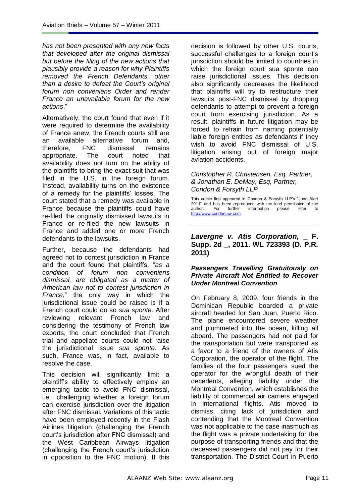*has not been presented with any new facts that developed after the original dismissal but before the filing of the new actions that plausibly provide a reason for why Plaintiffs removed the French Defendants, other than a desire to defeat the Court"s original forum non conveniens Order and render France an unavailable forum for the new actions*.‖

Alternatively, the court found that even if it were required to determine the availability of France anew, the French courts still are an available alternative forum and, therefore, FNC dismissal remains appropriate. The court noted that availability does not turn on the ability of the plaintiffs to bring the exact suit that was filed in the U.S. in the foreign forum. Instead, availability turns on the existence of a remedy for the plaintiffs' losses. The court stated that a remedy was available in France because the plaintiffs could have re-filed the originally dismissed lawsuits in France or re-filed the new lawsuits in France and added one or more French defendants to the lawsuits.

Further, because the defendants had agreed not to contest jurisdiction in France and the court found that plaintiffs, ―*as a condition of forum non conveniens dismissal, are obligated as a matter of American law not to contest jurisdiction in*  France," the only way in which the jurisdictional issue could be raised is if a French court could do so *sua sponte*. After reviewing relevant French law and considering the testimony of French law experts, the court concluded that French trial and appellate courts could not raise the jurisdictional issue *sua sponte*. As such, France was, in fact, available to resolve the case.

This decision will significantly limit a plaintiff's ability to effectively employ an emerging tactic to avoid FNC dismissal, i.e., challenging whether a foreign forum can exercise jurisdiction over the litigation after FNC dismissal. Variations of this tactic have been employed recently in the Flash Airlines litigation (challenging the French court's jurisdiction after FNC dismissal) and the West Caribbean Airways litigation (challenging the French court's jurisdiction in opposition to the FNC motion). If this decision is followed by other U.S. courts, successful challenges to a foreign court's jurisdiction should be limited to countries in which the foreign court sua sponte can raise jurisdictional issues. This decision also significantly decreases the likelihood that plaintiffs will try to restructure their lawsuits post-FNC dismissal by dropping defendants to attempt to prevent a foreign court from exercising jurisdiction. As a result, plaintiffs in future litigation may be forced to refrain from naming potentially liable foreign entities as defendants if they wish to avoid FNC dismissal of U.S. litigation arising out of foreign major aviation accidents.

#### *Christopher R. Christensen, Esq, Partner, & Jonathan E. DeMay, Esq, Partner, Condon & Forsyth LLP*

This article first appeared in Condon & Forsyth LLP's "June Alert 2011" and has been reproduced with the kind permission of the author. For further information please refer to [http://www.condonlaw.com](http://www.condonlaw.com/)

### *Lavergne v. Atis Corporation,* **\_ F. Supp. 2d \_, 2011. WL 723393 (D. P.R. 2011)**

### *Passengers Travelling Gratuitously on Private Aircraft Not Entitled to Recover Under Montreal Convention*

On February 8, 2009, four friends in the Dominican Republic boarded a private aircraft headed for San Juan, Puerto Rico. The plane encountered severe weather and plummeted into the ocean, killing all aboard. The passengers had not paid for the transportation but were transported as a favor to a friend of the owners of Atis Corporation, the operator of the flight. The families of the four passengers sued the operator for the wrongful death of their decedents, alleging liability under the Montreal Convention, which establishes the liability of commercial air carriers engaged in international flights. Atis moved to dismiss, citing lack of jurisdiction and contending that the Montreal Convention was not applicable to the case inasmuch as the flight was a private undertaking for the purpose of transporting friends and that the deceased passengers did not pay for their transportation. The District Court in Puerto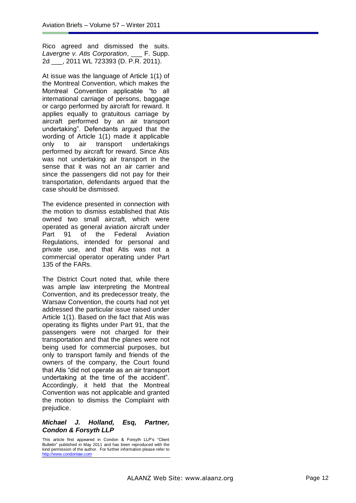Rico agreed and dismissed the suits. *Lavergne v. Atis Corporation*, \_\_\_ F. Supp. 2d \_\_\_, 2011 WL 723393 (D. P.R. 2011).

At issue was the language of Article 1(1) of the Montreal Convention, which makes the Montreal Convention applicable "to all international carriage of persons, baggage or cargo performed by aircraft for reward. It applies equally to gratuitous carriage by aircraft performed by an air transport undertaking". Defendants argued that the wording of Article 1(1) made it applicable only to air transport undertakings performed by aircraft for reward. Since Atis was not undertaking air transport in the sense that it was not an air carrier and since the passengers did not pay for their transportation, defendants argued that the case should be dismissed.

The evidence presented in connection with the motion to dismiss established that Atis owned two small aircraft, which were operated as general aviation aircraft under Part 91 of the Federal Aviation Regulations, intended for personal and private use, and that Atis was not a commercial operator operating under Part 135 of the FARs.

The District Court noted that, while there was ample law interpreting the Montreal Convention, and its predecessor treaty, the Warsaw Convention, the courts had not yet addressed the particular issue raised under Article 1(1). Based on the fact that Atis was operating its flights under Part 91, that the passengers were not charged for their transportation and that the planes were not being used for commercial purposes, but only to transport family and friends of the owners of the company, the Court found that Atis "did not operate as an air transport undertaking at the time of the accident". Accordingly, it held that the Montreal Convention was not applicable and granted the motion to dismiss the Complaint with prejudice.

### *Michael J. Holland, Esq, Partner, Condon & Forsyth LLP*

This article first appeared in Condon & Forsyth LLP's "Client Bulletin" published in May 2011 and has been reproduced with the kind permission of the author. For further information please refer to [http://www.condonlaw.com](http://www.condonlaw.com/)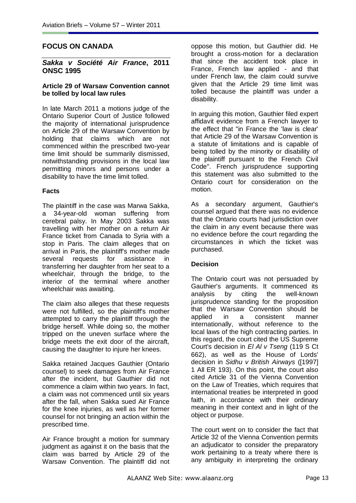## **FOCUS ON CANADA**

#### *Sakka v Société Air France***, 2011 ONSC 1995**

#### **Article 29 of Warsaw Convention cannot be tolled by local law rules**

In late March 2011 a motions judge of the Ontario Superior Court of Justice followed the majority of international jurisprudence on Article 29 of the Warsaw Convention by holding that claims which are not commenced within the prescribed two-year time limit should be summarily dismissed, notwithstanding provisions in the local law permitting minors and persons under a disability to have the time limit tolled.

### **Facts**

The plaintiff in the case was Marwa Sakka, a 34-year-old woman suffering from cerebral palsy. In May 2003 Sakka was travelling with her mother on a return Air France ticket from Canada to Syria with a stop in Paris. The claim alleges that on arrival in Paris, the plaintiff's mother made several requests for assistance in transferring her daughter from her seat to a wheelchair, through the bridge, to the interior of the terminal where another wheelchair was awaiting.

The claim also alleges that these requests were not fulfilled, so the plaintiff's mother attempted to carry the plaintiff through the bridge herself. While doing so, the mother tripped on the uneven surface where the bridge meets the exit door of the aircraft, causing the daughter to injure her knees.

Sakka retained Jacques Gauthier (Ontario counsel) to seek damages from Air France after the incident, but Gauthier did not commence a claim within two years. In fact, a claim was not commenced until six years after the fall, when Sakka sued Air France for the knee injuries, as well as her former counsel for not bringing an action within the prescribed time.

Air France brought a motion for summary judgment as against it on the basis that the claim was barred by Article 29 of the Warsaw Convention. The plaintiff did not

oppose this motion, but Gauthier did. He brought a cross-motion for a declaration that since the accident took place in France, French law applied - and that under French law, the claim could survive given that the Article 29 time limit was tolled because the plaintiff was under a disability.

In arguing this motion, Gauthier filed expert affidavit evidence from a French lawyer to the effect that "in France the 'law is clear' that Article 29 of the Warsaw Convention is a statute of limitations and is capable of being tolled by the minority or disability of the plaintiff pursuant to the French Civil Code". French jurisprudence supporting this statement was also submitted to the Ontario court for consideration on the motion.

As a secondary argument, Gauthier's counsel argued that there was no evidence that the Ontario courts had jurisdiction over the claim in any event because there was no evidence before the court regarding the circumstances in which the ticket was purchased.

### **Decision**

The Ontario court was not persuaded by Gauthier's arguments. It commenced its analysis by citing the well-known jurisprudence standing for the proposition that the Warsaw Convention should be applied in a consistent manner internationally, without reference to the local laws of the high contracting parties. In this regard, the court cited the US Supreme Court's decision in *El Al v Tseng* (119 S Ct 662), as well as the House of Lords' decision in *Sidhu v British Airways* ([1997] 1 All ER 193). On this point, the court also cited Article 31 of the Vienna Convention on the Law of Treaties, which requires that international treaties be interpreted in good faith, in accordance with their ordinary meaning in their context and in light of the object or purpose.

The court went on to consider the fact that Article 32 of the Vienna Convention permits an adjudicator to consider the preparatory work pertaining to a treaty where there is any ambiguity in interpreting the ordinary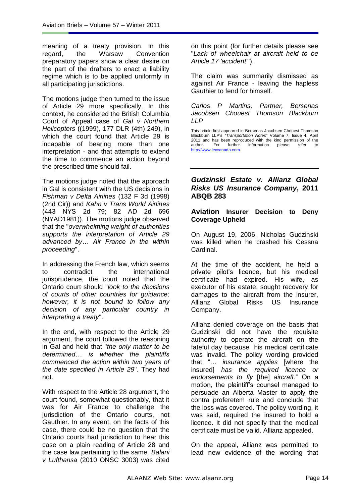meaning of a treaty provision. In this regard, the Warsaw Convention preparatory papers show a clear desire on the part of the drafters to enact a liability regime which is to be applied uniformly in all participating jurisdictions.

The motions judge then turned to the issue of Article 29 more specifically. In this context, he considered the British Columbia Court of Appeal case of *Gal v Northern Helicopters* ((1999), 177 DLR (4th) 249), in which the court found that Article 29 is incapable of bearing more than one interpretation - and that attempts to extend the time to commence an action beyond the prescribed time should fail.

The motions judge noted that the approach in Gal is consistent with the US decisions in *Fishman v Delta Airlines* (132 F 3d (1998) (2nd Cir)) and *Kahn v Trans World Airlines* (443 NYS 2d 79; 82 AD 2d 696 (NYAD1981)). The motions judge observed that the "*overwhelming weight of authorities supports the interpretation of Article 29 advanced by… Air France in the within proceeding*".

In addressing the French law, which seems to contradict the international jurisprudence, the court noted that the Ontario court should "*look to the decisions of courts of other countries for guidance; however, it is not bound to follow any decision of any particular country in interpreting a treaty*".

In the end, with respect to the Article 29 argument, the court followed the reasoning in Gal and held that "*the only matter to be determined… is whether the plaintiffs commenced the action within two years of the date specified in Article 29*". They had not.

With respect to the Article 28 argument, the court found, somewhat questionably, that it was for Air France to challenge the jurisdiction of the Ontario courts, not Gauthier. In any event, on the facts of this case, there could be no question that the Ontario courts had jurisdiction to hear this case on a plain reading of Article 28 and the case law pertaining to the same. *Balani v Lufthansa* (2010 ONSC 3003) was cited

on this point (for further details please see "*Lack of wheelchair at aircraft held to be Article 17 'accident'*").

The claim was summarily dismissed as against Air France - leaving the hapless Gauthier to fend for himself.

*Carlos P Martins, Partner, Bersenas Jacobsen Chouest Thomson Blackburn LLP*

This article first appeared in Bersenas Jacobsen Chouest Thomson Blackburn LLP's <sup>"</sup>Transportation Notes" Volume 7, Issue 4, April 2011 and has been reproduced with the kind permission of the author. For the information please refer to author. For further information please refer to [http://www.lexcanada.com.](http://www.lexcanada.com/) 

### *Gudzinski Estate v. Allianz Global Risks US Insurance Company***, 2011 ABQB 283**

### **Aviation Insurer Decision to Deny Coverage Upheld**

On August 19, 2006, Nicholas Gudzinski was killed when he crashed his Cessna Cardinal.

At the time of the accident, he held a private pilot's licence, but his medical certificate had expired. His wife, as executor of his estate, sought recovery for damages to the aircraft from the insurer, Allianz Global Risks US Insurance Company.

Allianz denied coverage on the basis that Gudzinski did not have the requisite authority to operate the aircraft on the fateful day because his medical certificate was invalid. The policy wording provided that ―… *insurance applies* [where the insured] *has the required licence or endorsements to fly* [the] *aircraft*.‖ On a motion, the plaintiff's counsel managed to persuade an Alberta Master to apply the contra proferetem rule and conclude that the loss was covered. The policy wording, it was said, required the insured to hold a licence. It did not specify that the medical certificate must be valid. Allianz appealed.

On the appeal, Allianz was permitted to lead new evidence of the wording that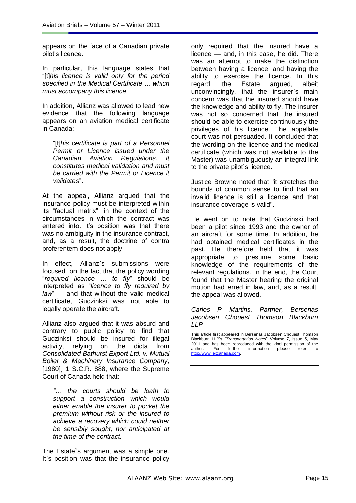appears on the face of a Canadian private pilot's licence.

In particular, this language states that ―[t]*his licence is valid only for the period specified in the Medical Certificate … which must accompany this licence*.‖

In addition, Allianz was allowed to lead new evidence that the following language appears on an aviation medical certificate in Canada:

―[t]*his certificate is part of a Personnel Permit or Licence issued under the Canadian Aviation Regulations. It constitutes medical validation and must be carried with the Permit or Licence it validates*‖.

At the appeal, Allianz argued that the insurance policy must be interpreted within its "factual matrix", in the context of the circumstances in which the contract was entered into. It's position was that there was no ambiguity in the insurance contract, and, as a result, the doctrine of contra proferentem does not apply.

In effect, Allianz`s submissions were focused on the fact that the policy wording ―*required licence … to fly*‖ should be interpreted as ―*licence to fly required by law*<sup>"</sup> — and that without the valid medical certificate, Gudzinksi was not able to legally operate the aircraft.

Allianz also argued that it was absurd and contrary to public policy to find that Gudzinksi should be insured for illegal activity, relying on the dicta from *Consolidated Bathurst Export Ltd. v. Mutual Boiler & Machinery Insurance Company*, [1980], 1 S.C.R. 888, where the Supreme Court of Canada held that:

*"… the courts should be loath to support a construction which would either enable the insurer to pocket the premium without risk or the insured to achieve a recovery which could neither be sensibly sought, nor anticipated at the time of the contract.*

The Estate`s argument was a simple one. It's position was that the insurance policy only required that the insured have a licence — and, in this case, he did. There was an attempt to make the distinction between having a licence, and having the ability to exercise the licence. In this regard, the Estate argued, albeit unconvincingly, that the insurer`s main concern was that the insured should have the knowledge and ability to fly. The insurer was not so concerned that the insured should be able to exercise continuously the privileges of his licence. The appellate court was not persuaded. It concluded that the wording on the licence and the medical certificate (which was not available to the Master) was unambiguously an integral link to the private pilot`s licence.

Justice Browne noted that "it stretches the bounds of common sense to find that an invalid licence is still a licence and that insurance coverage is valid".

He went on to note that Gudzinski had been a pilot since 1993 and the owner of an aircraft for some time. In addition, he had obtained medical certificates in the past. He therefore held that it was appropriate to presume some basic knowledge of the requirements of the relevant regulations. In the end, the Court found that the Master hearing the original motion had erred in law, and, as a result, the appeal was allowed.

#### *Carlos P Martins, Partner, Bersenas Jacobsen Chouest Thomson Blackburn LLP*

This article first appeared in Bersenas Jacobsen Chouest Thomson Blackburn LLP's ―*Transportation Notes*‖ Volume 7, Issue 5, May 2011 and has been reproduced with the kind permission of the author. For further information please refer to information [http://www.lexcanada.com.](http://www.lexcanada.com/)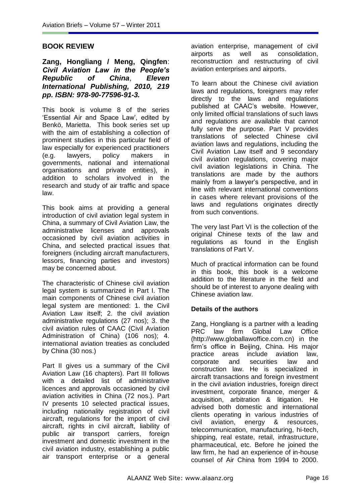### **BOOK REVIEW**

**Zang, Hongliang / Meng, Qingfen**: *Civil Aviation Law in the People's Republic of China*, *Eleven International Publishing, 2010, 219 pp. ISBN: 978-90-77596-91-3.*

This book is volume 8 of the series ‗Essential Air and Space Law', edited by Benkö, Marietta.This book series set up with the aim of establishing a collection of prominent studies in this particular field of law especially for experienced practitioners (e.g. lawyers, policy makers in governments, national and international organisations and private entities), in addition to scholars involved in the research and study of air traffic and space law.

This book aims at providing a general introduction of civil aviation legal system in China, a summary of Civil Aviation Law, the administrative licenses and approvals occasioned by civil aviation activities in China, and selected practical issues that foreigners (including aircraft manufacturers, lessors, financing parties and investors) may be concerned about.

The characteristic of Chinese civil aviation legal system is summarized in Part I. The main components of Chinese civil aviation legal system are mentioned: 1. the Civil Aviation Law itself; 2. the civil aviation administrative regulations (27 nos); 3. the civil aviation rules of CAAC (Civil Aviation Administration of China) (106 nos); 4. international aviation treaties as concluded by China (30 nos.)

Part II gives us a summary of the Civil Aviation Law (16 chapters). Part III follows with a detailed list of administrative licences and approvals occasioned by civil aviation activities in China (72 nos.). Part IV presents 10 selected practical issues, including nationality registration of civil aircraft, regulations for the import of civil aircraft, rights in civil aircraft, liability of public air transport carriers, foreign investment and domestic investment in the civil aviation industry, establishing a public air transport enterprise or a general

aviation enterprise, management of civil airports as well as consolidation, reconstruction and restructuring of civil aviation enterprises and airports.

To learn about the Chinese civil aviation laws and regulations, foreigners may refer directly to the laws and regulations published at CAAC's website. However, only limited official translations of such laws and regulations are available that cannot fully serve the purpose. Part V provides translations of selected Chinese civil aviation laws and regulations, including the Civil Aviation Law itself and 9 secondary civil aviation regulations, covering major civil aviation legislations in China. The translations are made by the authors mainly from a lawyer's perspective, and in line with relevant international conventions in cases where relevant provisions of the laws and regulations originates directly from such conventions.

The very last Part VI is the collection of the original Chinese texts of the law and regulations as found in the English translations of Part V.

Much of practical information can be found in this book, this book is a welcome addition to the literature in the field and should be of interest to anyone dealing with Chinese aviation law.

### **Details of the authors**

Zang, Hongliang is a partner with a leading PRC law firm Global Law Office (http://www.globallawoffice.com.cn) in the firm's office in Beijing, China. His major practice areas include aviation law, corporate and securities law and construction law. He is specialized in aircraft transactions and foreign investment in the civil aviation industries, foreign direct investment, corporate finance, merger & acquisition, arbitration & litigation. He advised both domestic and international clients operating in various industries of civil aviation, energy & resources, telecommunication, manufacturing, hi-tech, shipping, real estate, retail, infrastructure, pharmaceutical, etc. Before he joined the law firm, he had an experience of in-house counsel of Air China from 1994 to 2000.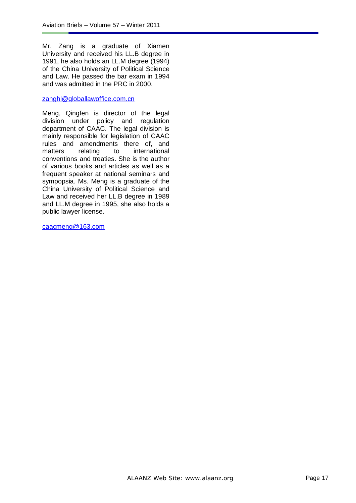Mr. Zang is a graduate of Xiamen University and received his LL.B degree in 1991, he also holds an LL.M degree (1994) of the China University of Political Science and Law. He passed the bar exam in 1994 and was admitted in the PRC in 2000.

#### [zanghl@globallawoffice.com.cn](mailto:zanghl@globallawoffice.com.cn)

Meng, Qingfen is director of the legal division under policy and regulation department of CAAC. The legal division is mainly responsible for legislation of CAAC rules and amendments there of, and matters relating to international conventions and treaties. She is the author of various books and articles as well as a frequent speaker at national seminars and sympopsia. Ms. Meng is a graduate of the China University of Political Science and Law and received her LL.B degree in 1989 and LL.M degree in 1995, she also holds a public lawyer license.

[caacmeng@163.com](mailto:caacmeng@163.com)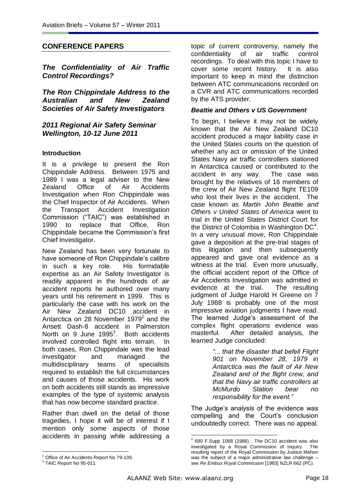## **CONFERENCE PAPERS**

*The Confidentiality of Air Traffic Control Recordings?*

*The Ron Chippindale Address to the Australian and New Zealand Societies of Air Safety Investigators*

*2011 Regional Air Safety Seminar Wellington, 10-12 June 2011*

### **Introduction**

It is a privilege to present the Ron Chippindale Address. Between 1975 and 1989 I was a legal adviser to the New Zealand Office of Air Accidents Investigation when Ron Chippindale was the Chief Inspector of Air Accidents. When the Transport Accident Investigation Commission ("TAIC") was established in 1990 to replace that Office, Ron Chippindale became the Commission's first Chief Investigator.

New Zealand has been very fortunate to have someone of Ron Chippindale's calibre in such a key role. His formidable expertise as an Air Safety Investigator is readily apparent in the hundreds of air accident reports he authored over many years until his retirement in 1999. This is particularly the case with his work on the Air New Zealand DC10 accident in Antarctica on 28 November 1979 $2$  and the Ansett Dash-8 accident in Palmerston North on 9 June  $1995<sup>3</sup>$ . Both accidents involved controlled flight into terrain. In both cases, Ron Chippindale was the lead investigator and managed the multidisciplinary teams of specialists required to establish the full circumstances and causes of those accidents. His work on both accidents still stands as impressive examples of the type of systemic analysis that has now become standard practice.

Rather than dwell on the detail of those tragedies, I hope it will be of interest if I mention only some aspects of those accidents in passing while addressing a topic of current controversy, namely the confidentiality of air traffic control recordings. To deal with this topic I have to cover some recent history. It is also important to keep in mind the distinction between ATC communications recorded on a CVR and ATC communications recorded by the ATS provider.

#### *Beattie and Others v US Government*

To begin, I believe it may not be widely known that the Air New Zealand DC10 accident produced a major liability case in the United States courts on the question of whether any act or omission of the United States Navy air traffic controllers stationed in Antarctica caused or contributed to the accident in any way. The case was brought by the relatives of 16 members of the crew of Air New Zealand flight TE109 who lost their lives in the accident. The case known as *Martin John Beattie and Others v United States of America* went to trial in the United States District Court for the District of Colombia in Washington  $DC<sup>4</sup>$ . In a very unusual move, Ron Chippindale gave a deposition at the pre-trial stages of this litigation and then subsequently appeared and gave oral evidence as a witness at the trial. Even more unusually, the official accident report of the Office of Air Accidents Investigation was admitted in evidence at the trial. The resulting judgment of Judge Harold H Greene on 7 July 1988 is probably one of the most impressive aviation judgments I have read. The learned Judge's assessment of the complex flight operations evidence was masterful. After detailed analysis, the learned Judge concluded:

> *"... that the disaster that befell Flight 901 on November 28, 1979 in Antarctica was the fault of Air New Zealand and of the flight crew, and that the Navy air traffic controllers at McMurdo Station bear no responsibility for the event."*

The Judge's analysis of the evidence was compelling and the Court's conclusion undoubtedly correct. There was no appeal.

 $\overline{a}$ <sup>2</sup> Office of Air Accidents Report No 79-139.

<sup>&</sup>lt;sup>3</sup> TAIC Report No 95-011

<sup>1</sup> 4 690 F.Supp 1068 (1988). The DC10 accident was also investigated by a Royal Commission of Inquiry. The resulting report of the Royal Commission by Justice Mahon was the subject of a major administrative law challenge – see *Re Erebus Royal Commission* [1983] NZLR 662 (PC).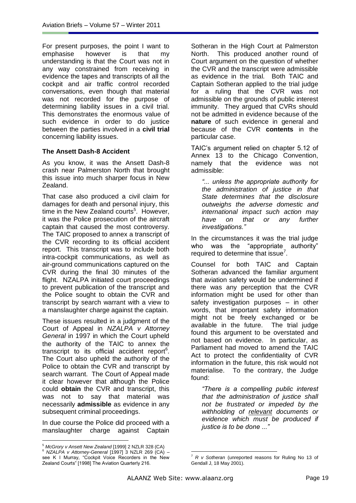For present purposes, the point I want to emphasise however is that my understanding is that the Court was not in any way constrained from receiving in evidence the tapes and transcripts of all the cockpit and air traffic control recorded conversations, even though that material was not recorded for the purpose of determining liability issues in a civil trial. This demonstrates the enormous value of such evidence in order to do justice between the parties involved in a **civil trial**  concerning liability issues.

### **The Ansett Dash-8 Accident**

As you know, it was the Ansett Dash-8 crash near Palmerston North that brought this issue into much sharper focus in New Zealand.

That case also produced a civil claim for damages for death and personal injury, this time in the New Zealand courts<sup>5</sup>. However, it was the Police prosecution of the aircraft captain that caused the most controversy. The TAIC proposed to annex a transcript of the CVR recording to its official accident report. This transcript was to include both intra-cockpit communications, as well as air-ground communications captured on the CVR during the final 30 minutes of the flight. NZALPA initiated court proceedings to prevent publication of the transcript and the Police sought to obtain the CVR and transcript by search warrant with a view to a manslaughter charge against the captain.

These issues resulted in a judgment of the Court of Appeal in *NZALPA v Attorney General* in 1997 in which the Court upheld the authority of the TAIC to annex the transcript to its official accident report<sup>6</sup>. The Court also upheld the authority of the Police to obtain the CVR and transcript by search warrant. The Court of Appeal made it clear however that although the Police could **obtain** the CVR and transcript, this was not to say that material was necessarily **admissible** as evidence in any subsequent criminal proceedings.

In due course the Police did proceed with a manslaughter charge against Captain

 $\overline{a}$ 

Sotheran in the High Court at Palmerston North. This produced another round of Court argument on the question of whether the CVR and the transcript were admissible as evidence in the trial. Both TAIC and Captain Sotheran applied to the trial judge for a ruling that the CVR was not admissible on the grounds of public interest immunity. They argued that CVRs should not be admitted in evidence because of the **nature** of such evidence in general and because of the CVR **contents** in the particular case.

TAIC's argument relied on chapter 5.12 of Annex 13 to the Chicago Convention, namely that the evidence was not admissible:

*"... unless the appropriate authority for the administration of justice in that State determines that the disclosure outweighs the adverse domestic and international impact such action may have on that or any further investigations."*

In the circumstances it was the trial judge who was the "appropriate authority" required to determine that issue<sup>7</sup>.

Counsel for both TAIC and Captain Sotheran advanced the familiar argument that aviation safety would be undermined if there was any perception that the CVR information might be used for other than safety investigation purposes – in other words, that important safety information might not be freely exchanged or be available in the future. The trial judge found this argument to be overstated and not based on evidence. In particular, as Parliament had moved to amend the TAIC Act to protect the confidentiality of CVR information in the future, this risk would not materialise. To the contrary, the Judge found:

*"There is a compelling public interest that the administration of justice shall not be frustrated or impeded by the withholding of relevant documents or evidence which must be produced if justice is to be done ..."*

<sup>5</sup> *McGrory v Ansett New Zealand* [1999] 2 NZLR 328 (CA)

<sup>6</sup> *NZALPA v Attorney-General* [1997] 3 NZLR 269 (CA) – see K I Murray, "Cockpit Voice Recorders in the New Zealand Courts" [1998] The Aviation Quarterly 216.

<sup>&</sup>lt;u>.</u> <sup>7</sup> *R v Sotheran* (unreported reasons for Ruling No 13 of Gendall J, 18 May 2001).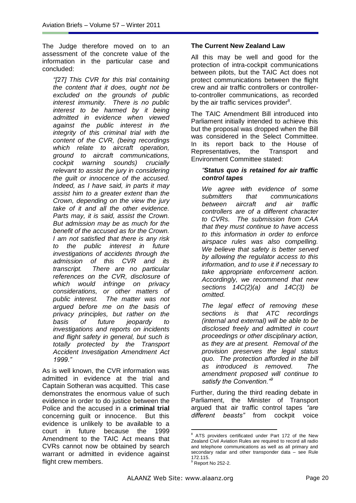The Judge therefore moved on to an assessment of the concrete value of the information in the particular case and concluded:

*"[27] This CVR for this trial containing the content that it does, ought not be excluded on the grounds of public interest immunity. There is no public interest to be harmed by it being admitted in evidence when viewed against the public interest in the integrity of this criminal trial with the content of the CVR, (being recordings which relate to aircraft operation, ground to aircraft communications, cockpit warning sounds) crucially relevant to assist the jury in considering the guilt or innocence of the accused. Indeed, as I have said, in parts it may assist him to a greater extent than the Crown, depending on the view the jury take of it and all the other evidence. Parts may, it is said, assist the Crown. But admission may be as much for the benefit of the accused as for the Crown. I am not satisfied that there is any risk to the public interest in future investigations of accidents through the admission of this CVR and its transcript. There are no particular references on the CVR, disclosure of which would infringe on privacy considerations, or other matters of public interest. The matter was not argued before me on the basis of privacy principles, but rather on the basis of future jeopardy to investigations and reports on incidents and flight safety in general, but such is totally protected by the Transport Accident Investigation Amendment Act 1999."* 

As is well known, the CVR information was admitted in evidence at the trial and Captain Sotheran was acquitted. This case demonstrates the enormous value of such evidence in order to do justice between the Police and the accused in a **criminal trial** concerning guilt or innocence. But this evidence is unlikely to be available to a court in future because the 1999 Amendment to the TAIC Act means that CVRs cannot now be obtained by search warrant or admitted in evidence against flight crew members.

### **The Current New Zealand Law**

All this may be well and good for the protection of intra-cockpit communications between pilots, but the TAIC Act does not protect communications between the flight crew and air traffic controllers or controllerto-controller communications, as recorded by the air traffic services provider $8$ .

The TAIC Amendment Bill introduced into Parliament initially intended to achieve this but the proposal was dropped when the Bill was considered in the Select Committee. In its report back to the House of Representatives, the Transport and Environment Committee stated:

### *"Status quo is retained for air traffic control tapes*

*We agree with evidence of some submitters that communications between aircraft and air traffic controllers are of a different character to CVRs. The submission from CAA that they must continue to have access to this information in order to enforce airspace rules was also compelling. We believe that safety is better served by allowing the regulator access to this information, and to use it if necessary to take appropriate enforcement action. Accordingly, we recommend that new sections 14C(2)(a) and 14C(3) be omitted.*

*The legal effect of removing these sections is that ATC recordings (internal and external) will be able to be disclosed freely and admitted in court proceedings or other disciplinary action, as they are at present. Removal of the provision preserves the legal status quo. The protection afforded in the bill as introduced is removed. The amendment proposed will continue to satisfy the Convention."<sup>9</sup>*

Further, during the third reading debate in Parliament, the Minister of Transport argued that air traffic control tapes *"are different beasts"* from cockpit voice

<u>.</u>

ATS providers certificated under Part 172 of the New Zealand Civil Aviation Rules are required to record all radio and telephone communications as well as all primary and secondary radar and other transponder data – see Rule 172.115.

 $<sup>9</sup>$  Report No 252-2.</sup>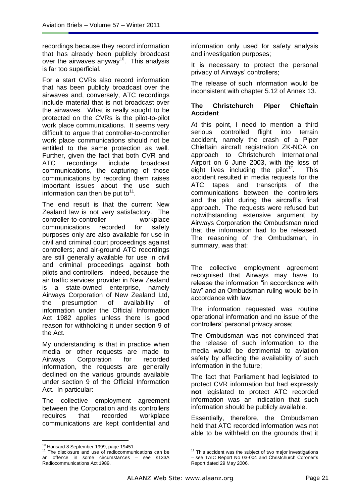recordings because they record information that has already been publicly broadcast over the airwaves anyway<sup>10</sup>. This analysis is far too superficial.

For a start CVRs also record information that has been publicly broadcast over the airwaves and, conversely, ATC recordings include material that is not broadcast over the airwaves. What is really sought to be protected on the CVRs is the pilot-to-pilot work place communications. It seems very difficult to argue that controller-to-controller work place communications should not be entitled to the same protection as well. Further, given the fact that both CVR and ATC recordings include broadcast communications, the capturing of those communications by recording them raises important issues about the use such information can then be put to<sup>11</sup>.

The end result is that the current New Zealand law is not very satisfactory. The controller-to-controller workplace communications recorded for safety purposes only are also available for use in civil and criminal court proceedings against controllers; and air-ground ATC recordings are still generally available for use in civil and criminal proceedings against both pilots and controllers. Indeed, because the air traffic services provider in New Zealand is a state-owned enterprise, namely Airways Corporation of New Zealand Ltd, the presumption of availability of information under the Official Information Act 1982 applies unless there is good reason for withholding it under section 9 of the Act.

My understanding is that in practice when media or other requests are made to Airways Corporation for recorded information, the requests are generally declined on the various grounds available under section 9 of the Official Information Act. In particular:

The collective employment agreement between the Corporation and its controllers requires that recorded workplace communications are kept confidential and

information only used for safety analysis and investigation purposes;

It is necessary to protect the personal privacy of Airways' controllers;

The release of such information would be inconsistent with chapter 5.12 of Annex 13.

### **The Christchurch Piper Chieftain Accident**

At this point, I need to mention a third serious controlled flight into terrain accident, namely the crash of a Piper Chieftain aircraft registration ZK-NCA on approach to Christchurch International Airport on 6 June 2003, with the loss of eight lives including the pilot<sup>12</sup>. This accident resulted in media requests for the ATC tapes and transcripts of the communications between the controllers and the pilot during the aircraft's final approach. The requests were refused but notwithstanding extensive argument by Airways Corporation the Ombudsman ruled that the information had to be released. The reasoning of the Ombudsman, in summary, was that:

The collective employment agreement recognised that Airways may have to release the information "in accordance with law" and an Ombudsman ruling would be in accordance with law;

The information requested was routine operational information and no issue of the controllers' personal privacy arose;

The Ombudsman was not convinced that the release of such information to the media would be detrimental to aviation safety by affecting the availability of such information in the future;

The fact that Parliament had legislated to protect CVR information but had expressly **not** legislated to protect ATC recorded information was an indication that such information should be publicly available.

Essentially, therefore, the Ombudsman held that ATC recorded information was not able to be withheld on the grounds that it

1

 $\overline{a}$ <sup>10</sup> Hansard 8 September 1999, page 19451.

<sup>&</sup>lt;sup>11</sup> The disclosure and use of radiocommunications can be an offence in some circumstances – see s133A Radiocommunications Act 1989.

 $12$  This accident was the subject of two major investigations – see TAIC Report No 03-004 and Christchurch Coroner's Report dated 29 May 2006.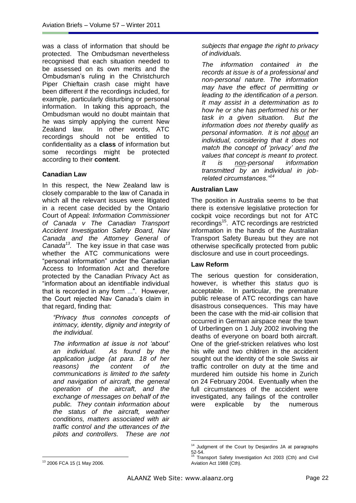was a class of information that should be protected. The Ombudsman nevertheless recognised that each situation needed to be assessed on its own merits and the Ombudsman's ruling in the Christchurch Piper Chieftain crash case might have been different if the recordings included, for example, particularly disturbing or personal information. In taking this approach, the Ombudsman would no doubt maintain that he was simply applying the current New Zealand law. In other words, ATC recordings should not be entitled to confidentiality as a **class** of information but some recordings might be protected according to their **content**.

### **Canadian Law**

In this respect, the New Zealand law is closely comparable to the law of Canada in which all the relevant issues were litigated in a recent case decided by the Ontario Court of Appeal: *Information Commissioner of Canada v The Canadian Transport Accident Investigation Safety Board, Nav Canada and the Attorney General of Canada<sup>13</sup> .* The key issue in that case was whether the ATC communications were "personal information" under the Canadian Access to Information Act and therefore protected by the Canadian Privacy Act as ―information about an identifiable individual that is recorded in any form ...". However, the Court rejected Nav Canada's claim in that regard, finding that:

*"Privacy thus connotes concepts of intimacy, identity, dignity and integrity of the individual.* 

*The information at issue is not "about" an individual. As found by the application judge (at para. 18 of her reasons) the content of the communications is limited to the safety and navigation of aircraft, the general operation of the aircraft, and the exchange of messages on behalf of the public. They contain information about the status of the aircraft, weather conditions, matters associated with air traffic control and the utterances of the pilots and controllers. These are not* 

*subjects that engage the right to privacy of individuals.*

*The information contained in the records at issue is of a professional and non-personal nature. The information may have the effect of permitting or leading to the identification of a person. It may assist in a determination as to how he or she has performed his or her task in a given situation. But the information does not thereby qualify as personal information. It is not about an individual, considering that it does not match the concept of "privacy" and the values that concept is meant to protect. It is non-personal information transmitted by an individual in jobrelated circumstances."<sup>14</sup>*

### **Australian Law**

The position in Australia seems to be that there is extensive legislative protection for cockpit voice recordings but not for ATC recordings<sup>15</sup>. ATC recordings are restricted information in the hands of the Australian Transport Safety Bureau but they are not otherwise specifically protected from public disclosure and use in court proceedings.

### **Law Reform**

The serious question for consideration, however, is whether this *status quo* is acceptable. In particular, the premature public release of ATC recordings can have disastrous consequences. This may have been the case with the mid-air collision that occurred in German airspace near the town of Urberlingen on 1 July 2002 involving the deaths of everyone on board both aircraft. One of the grief-stricken relatives who lost his wife and two children in the accident sought out the identity of the sole Swiss air traffic controller on duty at the time and murdered him outside his home in Zurich on 24 February 2004. Eventually when the full circumstances of the accident were investigated, any failings of the controller were explicable by the numerous

<sup>&</sup>lt;u>.</u> <sup>14</sup> Judgment of the Court by Desjardins JA at paragraphs  $52-54.$ 

Transport Safety Investigation Act 2003 (Cth) and Civil Aviation Act 1988 (Cth).

 $\overline{a}$ <sup>13</sup> 2006 FCA 15 (1 May 2006.